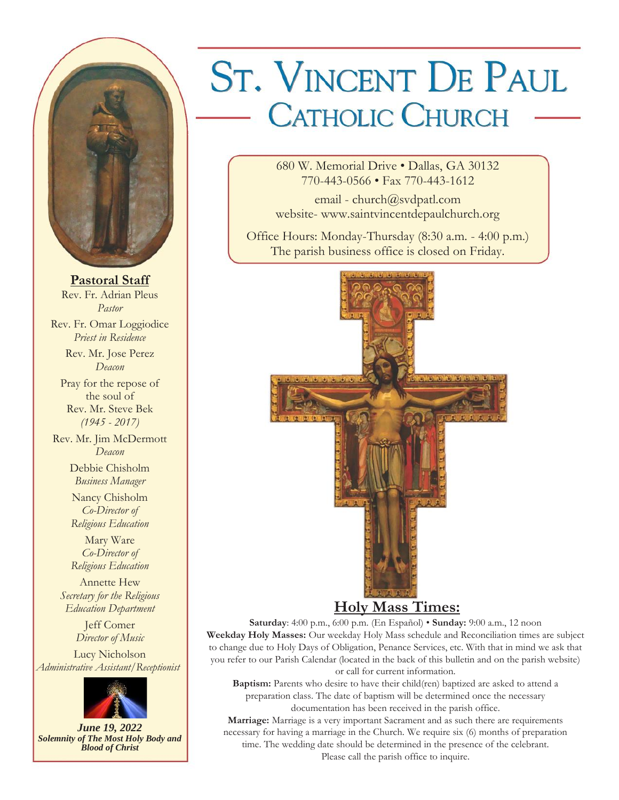

**Pastoral Staff** Rev. Fr. Adrian Pleus *Pastor* Rev. Fr. Omar Loggiodice *Priest in Residence* Rev. Mr. Jose Perez *Deacon* Pray for the repose of the soul of Rev. Mr. Steve Bek *(1945 - 2017)* Rev. Mr. Jim McDermott *Deacon* Debbie Chisholm *Business Manager* Nancy Chisholm *Co-Director of Religious Education* Mary Ware *Co-Director of Religious Education* Annette Hew *Secretary for the Religious Education Department* Jeff Comer *Director of Music*

Lucy Nicholson *Administrative Assistant/Receptionist*



*June 19, 2022 Solemnity of The Most Holy Body and Blood of Christ*

# **ST. VINCENT DE PAUL** - CATHOLIC CHURCH

680 W. Memorial Drive • Dallas, GA 30132 770-443-0566 • Fax 770-443-1612

email - church@svdpatl.com website- www.saintvincentdepaulchurch.org

Office Hours: Monday-Thursday (8:30 a.m. - 4:00 p.m.) The parish business office is closed on Friday.



# **Holy Mass Times:**

**Saturday**: 4:00 p.m., 6:00 p.m. (En Español) • **Sunday:** 9:00 a.m., 12 noon **Weekday Holy Masses:** Our weekday Holy Mass schedule and Reconciliation times are subject to change due to Holy Days of Obligation, Penance Services, etc. With that in mind we ask that you refer to our Parish Calendar (located in the back of this bulletin and on the parish website) or call for current information.

**Baptism:** Parents who desire to have their child(ren) baptized are asked to attend a preparation class. The date of baptism will be determined once the necessary documentation has been received in the parish office.

**Marriage:** Marriage is a very important Sacrament and as such there are requirements necessary for having a marriage in the Church. We require six (6) months of preparation time. The wedding date should be determined in the presence of the celebrant. Please call the parish office to inquire.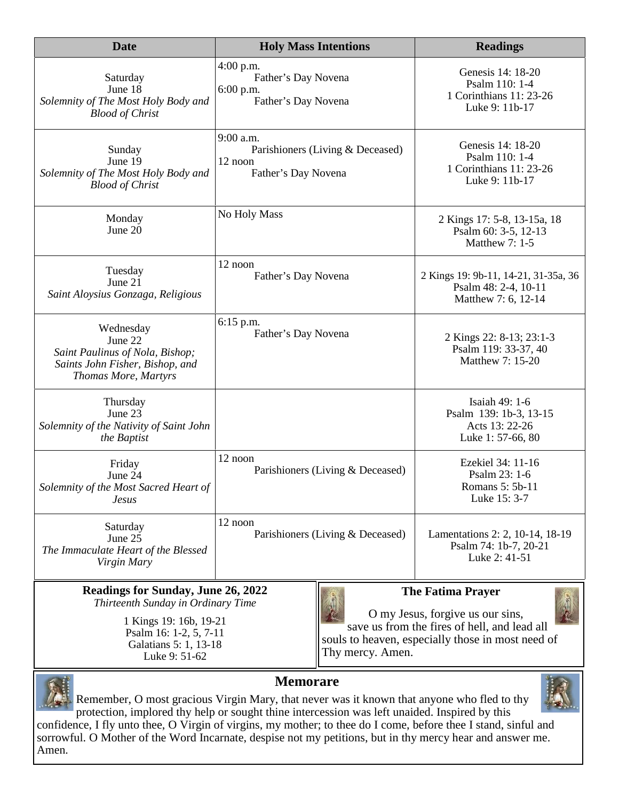| <b>Date</b>                                                                                                        | <b>Holy Mass Intentions</b>                                                     | <b>Readings</b>                                                                     |  |  |  |
|--------------------------------------------------------------------------------------------------------------------|---------------------------------------------------------------------------------|-------------------------------------------------------------------------------------|--|--|--|
| Saturday<br>June 18<br>Solemnity of The Most Holy Body and<br><b>Blood of Christ</b>                               | $4:00$ p.m.<br>Father's Day Novena<br>$6:00$ p.m.<br>Father's Day Novena        | Genesis 14: 18-20<br>Psalm 110: 1-4<br>1 Corinthians 11: 23-26<br>Luke 9: 11b-17    |  |  |  |
| Sunday<br>June 19<br>Solemnity of The Most Holy Body and<br><b>Blood of Christ</b>                                 | 9:00 a.m.<br>Parishioners (Living & Deceased)<br>12 noon<br>Father's Day Novena | Genesis 14: 18-20<br>Psalm 110: 1-4<br>1 Corinthians 11: 23-26<br>Luke 9: 11b-17    |  |  |  |
| Monday<br>June 20                                                                                                  | No Holy Mass                                                                    | 2 Kings 17: 5-8, 13-15a, 18<br>Psalm 60: 3-5, 12-13<br>Matthew 7: 1-5               |  |  |  |
| Tuesday<br>June 21<br>Saint Aloysius Gonzaga, Religious                                                            | 12 noon<br>Father's Day Novena                                                  | 2 Kings 19: 9b-11, 14-21, 31-35a, 36<br>Psalm 48: 2-4, 10-11<br>Matthew 7: 6, 12-14 |  |  |  |
| Wednesday<br>June 22<br>Saint Paulinus of Nola, Bishop;<br>Saints John Fisher, Bishop, and<br>Thomas More, Martyrs | 6:15 p.m.<br>Father's Day Novena                                                | 2 Kings 22: 8-13; 23:1-3<br>Psalm 119: 33-37, 40<br>Matthew 7: 15-20                |  |  |  |
| Thursday<br>June 23<br>Solemnity of the Nativity of Saint John<br>the Baptist                                      |                                                                                 | Isaiah 49: 1-6<br>Psalm 139: 1b-3, 13-15<br>Acts 13: 22-26<br>Luke 1: 57-66, 80     |  |  |  |
| Friday<br>June 24<br>Solemnity of the Most Sacred Heart of<br><i>Jesus</i>                                         | 12 noon<br>Parishioners (Living & Deceased)                                     | Ezekiel 34: 11-16<br>Psalm 23: 1-6<br>Romans 5: 5b-11<br>Luke 15: 3-7               |  |  |  |
| Saturday<br>June 25<br>The Immaculate Heart of the Blessed<br>Virgin Mary                                          | 12 noon<br>Parishioners (Living & Deceased)                                     | Lamentations 2: 2, 10-14, 18-19<br>Psalm 74: 1b-7, 20-21<br>Luke 2: 41-51           |  |  |  |

#### **Readings for Sunday, June 26, 2022** *Thirteenth Sunday in Ordinary Time*

1 Kings 19: 16b, 19-21 Psalm 16: 1-2, 5, 7-11 Galatians 5: 1, 13-18 Luke 9: 51-62



# **The Fatima Prayer**

O my Jesus, forgive us our sins, save us from the fires of hell, and lead all souls to heaven, especially those in most need of Thy mercy. Amen.



Amen.

**Memorare**

Remember, O most gracious Virgin Mary, that never was it known that anyone who fled to thy protection, implored thy help or sought thine intercession was left unaided. Inspired by this confidence, I fly unto thee, O Virgin of virgins, my mother; to thee do I come, before thee I stand, sinful and sorrowful. O Mother of the Word Incarnate, despise not my petitions, but in thy mercy hear and answer me.

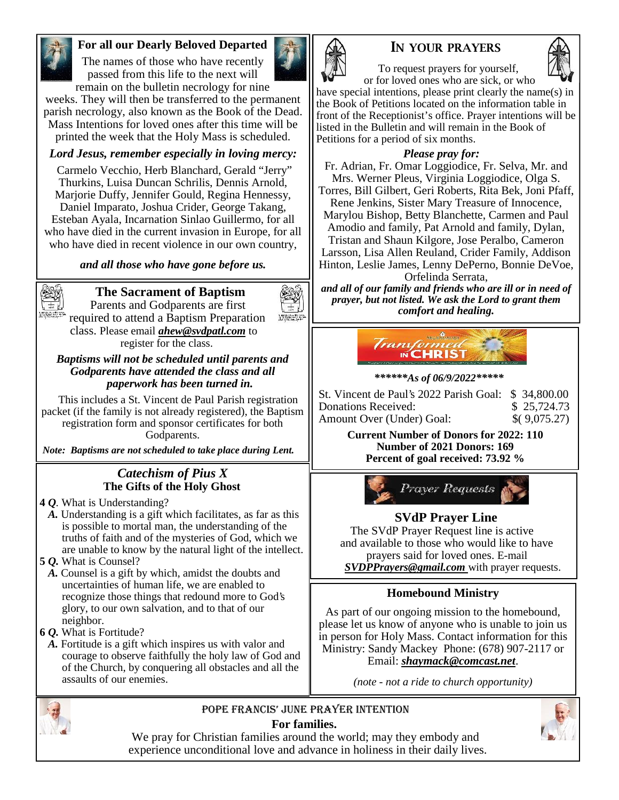

# **For all our Dearly Beloved Departed**

The names of those who have recently passed from this life to the next will remain on the bulletin necrology for nine



weeks. They will then be transferred to the permanent parish necrology, also known as the Book of the Dead. Mass Intentions for loved ones after this time will be printed the week that the Holy Mass is scheduled.

# *Lord Jesus, remember especially in loving mercy:*

Carmelo Vecchio, Herb Blanchard, Gerald "Jerry" Thurkins, Luisa Duncan Schrilis, Dennis Arnold, Marjorie Duffy, Jennifer Gould, Regina Hennessy, Daniel Imparato, Joshua Crider, George Takang, Esteban Ayala, Incarnation Sinlao Guillermo, for all who have died in the current invasion in Europe, for all who have died in recent violence in our own country,

#### *and all those who have gone before us.*



# **The Sacrament of Baptism**

Parents and Godparents are first required to attend a Baptism Preparation class. Please email *ahew@svdpatl.com* to register for the class.

*Baptisms will not be scheduled until parents and Godparents have attended the class and all paperwork has been turned in.*

This includes a St. Vincent de Paul Parish registration packet (if the family is not already registered), the Baptism registration form and sponsor certificates for both Godparents.

*Note: Baptisms are not scheduled to take place during Lent.*

#### *Catechism of Pius X* **The Gifts of the Holy Ghost**

- **4** *Q.* What is Understanding?
- *A.* Understanding is a gift which facilitates, as far as this is possible to mortal man, the understanding of the truths of faith and of the mysteries of God, which we are unable to know by the natural light of the intellect.
- **5** *Q.* What is Counsel?
- *A.* Counsel is a gift by which, amidst the doubts and uncertainties of human life, we are enabled to recognize those things that redound more to God's glory, to our own salvation, and to that of our neighbor.
- **6** *Q.* What is Fortitude?
- *A.* Fortitude is a gift which inspires us with valor and courage to observe faithfully the holy law of God and of the Church, by conquering all obstacles and all the assaults of our enemies.





To request prayers for yourself, or for loved ones who are sick, or who

have special intentions, please print clearly the name(s) in the Book of Petitions located on the information table in front of the Receptionist's office. Prayer intentions will be listed in the Bulletin and will remain in the Book of Petitions for a period of six months.

#### *Please pray for:*

Fr. Adrian, Fr. Omar Loggiodice, Fr. Selva, Mr. and Mrs. Werner Pleus, Virginia Loggiodice, Olga S. Torres, Bill Gilbert, Geri Roberts, Rita Bek, Joni Pfaff, Rene Jenkins, Sister Mary Treasure of Innocence, Marylou Bishop, Betty Blanchette, Carmen and Paul Amodio and family, Pat Arnold and family, Dylan, Tristan and Shaun Kilgore, Jose Peralbo, Cameron Larsson, Lisa Allen Reuland, Crider Family, Addison Hinton, Leslie James, Lenny DePerno, Bonnie DeVoe, Orfelinda Serrata,

*and all of our family and friends who are ill or in need of prayer, but not listed. We ask the Lord to grant them comfort and healing.*



#### *\*\*\*\*\*\*As of 06/9/2022\*\*\*\*\**

| St. Vincent de Paul's 2022 Parish Goal: \$34,800.00 |              |  |
|-----------------------------------------------------|--------------|--|
| Donations Received:                                 | \$25,724.73  |  |
| Amount Over (Under) Goal:                           | \$(9,075.27) |  |

**Current Number of Donors for 2022: 110 Number of 2021 Donors: 169 Percent of goal received: 73.92 %**



# **SVdP Prayer Line**

The SVdP Prayer Request line is active and available to those who would like to have prayers said for loved ones. E-mail *SVDPPrayers@gmail.com* with prayer requests.

# **Homebound Ministry**

As part of our ongoing mission to the homebound, please let us know of anyone who is unable to join us in person for Holy Mass. Contact information for this Ministry: Sandy Mackey Phone: (678) 907-2117 or Email: *shaymack@comcast.net*.

*(note - not a ride to church opportunity)*



# Pope Francis' June Prayer Intention



We pray for Christian families around the world; may they embody and experience unconditional love and advance in holiness in their daily lives.

# **For families.**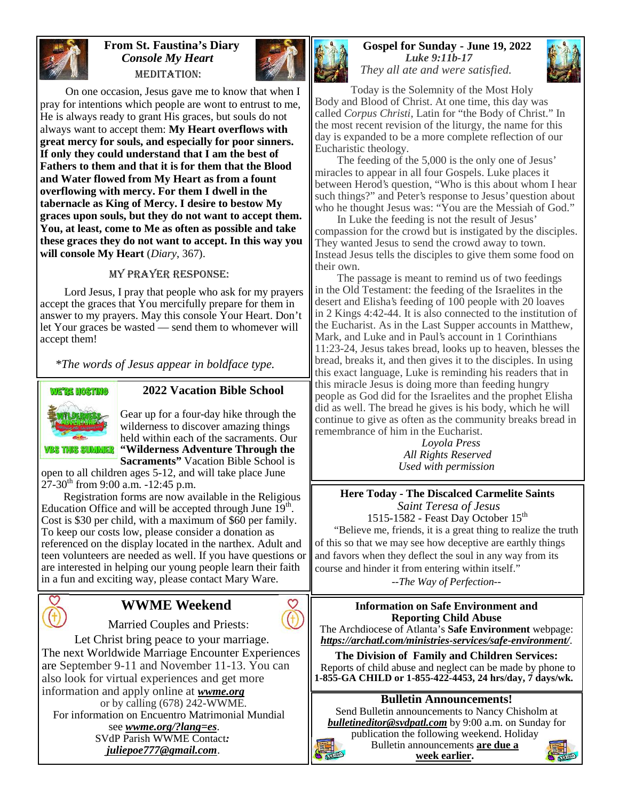

#### **From St. Faustina's Diary** *Console My Heart* MEDITATION:



On one occasion, Jesus gave me to know that when I pray for intentions which people are wont to entrust to me, He is always ready to grant His graces, but souls do not always want to accept them: **My Heart overflows with great mercy for souls, and especially for poor sinners. If only they could understand that I am the best of Fathers to them and that it is for them that the Blood and Water flowed from My Heart as from a fount overflowing with mercy. For them I dwell in the tabernacle as King of Mercy. I desire to bestow My graces upon souls, but they do not want to accept them. You, at least, come to Me as often as possible and take these graces they do not want to accept. In this way you will console My Heart** (*Diary*, 367).

#### My Prayer Response:

Lord Jesus, I pray that people who ask for my prayers accept the graces that You mercifully prepare for them in answer to my prayers. May this console Your Heart. Don't let Your graces be wasted — send them to whomever will accept them!

*\*The words of Jesus appear in boldface type.*



#### **2022 Vacation Bible School**

Gear up for a four-day hike through the wilderness to discover amazing things held within each of the sacraments. Our **"Wilderness Adventure Through the Sacraments"** Vacation Bible School is

open to all children ages 5-12, and will take place June  $27-30^{th}$  from 9:00 a.m.  $-12:45$  p.m.

Registration forms are now available in the Religious Education Office and will be accepted through June  $19<sup>th</sup>$ . Cost is \$30 per child, with a maximum of \$60 per family. To keep our costs low, please consider a donation as referenced on the display located in the narthex. Adult and teen volunteers are needed as well. If you have questions or are interested in helping our young people learn their faith in a fun and exciting way, please contact Mary Ware.



# **WWME Weekend**

Married Couples and Priests:

Let Christ bring peace to your marriage. The next Worldwide Marriage Encounter Experiences are September 9-11 and November 11-13. You can also look for virtual experiences and get more information and apply online at *wwme.org*

or by calling (678) 242-WWME. For information on Encuentro Matrimonial Mundial see *wwme.org/?lang=es*. SVdP Parish WWME Contact*: juliepoe777@gmail.com*.

#### **Gospel for Sunday - June 19, 2022** *Luke 9:11b-17 They all ate and were satisfied.*



Today is the Solemnity of the Most Holy Body and Blood of Christ. At one time, this day was called *Corpus Christi*, Latin for "the Body of Christ." In the most recent revision of the liturgy, the name for this day is expanded to be a more complete reflection of our Eucharistic theology.

The feeding of the 5,000 is the only one of Jesus' miracles to appear in all four Gospels. Luke places it between Herod's question, "Who is this about whom I hear such things?" and Peter's response to Jesus' question about who he thought Jesus was: "You are the Messiah of God."

In Luke the feeding is not the result of Jesus' compassion for the crowd but is instigated by the disciples. They wanted Jesus to send the crowd away to town. Instead Jesus tells the disciples to give them some food on their own.

The passage is meant to remind us of two feedings in the Old Testament: the feeding of the Israelites in the desert and Elisha's feeding of 100 people with 20 loaves in 2 Kings 4:42-44. It is also connected to the institution of the Eucharist. As in the Last Supper accounts in Matthew, Mark, and Luke and in Paul's account in 1 Corinthians 11:23-24, Jesus takes bread, looks up to heaven, blesses the bread, breaks it, and then gives it to the disciples. In using this exact language, Luke is reminding his readers that in this miracle Jesus is doing more than feeding hungry people as God did for the Israelites and the prophet Elisha did as well. The bread he gives is his body, which he will continue to give as often as the community breaks bread in remembrance of him in the Eucharist.

*Loyola Press All Rights Reserved Used with permission*

**Here Today - The Discalced Carmelite Saints** *Saint Teresa of Jesus* 1515-1582 - Feast Day October 15<sup>th</sup>

"Believe me, friends, it is a great thing to realize the truth of this so that we may see how deceptive are earthly things and favors when they deflect the soul in any way from its course and hinder it from entering within itself."

*--The Way of Perfection--*

**Information on Safe Environment and Reporting Child Abuse** The Archdiocese of Atlanta's **Safe Environment** webpage: *https://archatl.com/ministries-services/safe-environment/*.

**The Division of Family and Children Services:** Reports of child abuse and neglect can be made by phone to **1-855-GA CHILD or 1-855-422-4453, 24 hrs/day, 7 days/wk.**

# **Bulletin Announcements!**

Send Bulletin announcements to Nancy Chisholm at *bulletineditor@svdpatl.com* by 9:00 a.m. on Sunday for

publication the following weekend. Holiday Bulletin announcements **are due a week earlier.**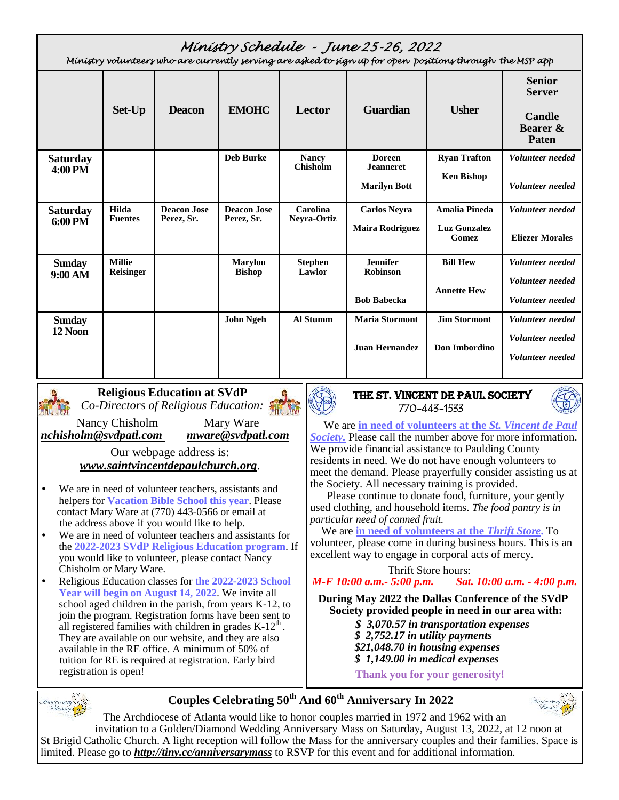|                            |                                   |                                  |                                  |                                 | Ministry Schedule - June 25-26, 2022<br>Ministry volunteers who are currently serving are asked to sign up for open positions through the MSP app |                              |                                    |
|----------------------------|-----------------------------------|----------------------------------|----------------------------------|---------------------------------|---------------------------------------------------------------------------------------------------------------------------------------------------|------------------------------|------------------------------------|
|                            |                                   |                                  |                                  |                                 |                                                                                                                                                   |                              | <b>Senior</b><br><b>Server</b>     |
|                            | Set-Up                            | <b>Deacon</b>                    | <b>EMOHC</b>                     | Lector                          | <b>Guardian</b>                                                                                                                                   | <b>Usher</b>                 | Candle<br>Bearer &<br><b>Paten</b> |
| <b>Saturday</b><br>4:00 PM |                                   |                                  | <b>Deb Burke</b>                 | <b>Nancy</b><br><b>Chisholm</b> | <b>Doreen</b><br><b>Jeanneret</b>                                                                                                                 | <b>Ryan Trafton</b>          | Volunteer needed                   |
|                            |                                   |                                  |                                  |                                 | <b>Marilyn Bott</b>                                                                                                                               | <b>Ken Bishop</b>            | Volunteer needed                   |
| <b>Saturday</b>            | Hilda<br><b>Fuentes</b>           | <b>Deacon Jose</b><br>Perez, Sr. | <b>Deacon Jose</b><br>Perez, Sr. | Carolina<br>Neyra-Ortiz         | <b>Carlos Neyra</b>                                                                                                                               | <b>Amalia Pineda</b>         | Volunteer needed                   |
| 6:00 PM                    |                                   |                                  |                                  | <b>Maira Rodriguez</b>          |                                                                                                                                                   | <b>Luz Gonzalez</b><br>Gomez | <b>Eliezer Morales</b>             |
| <b>Sunday</b>              | <b>Millie</b><br><b>Reisinger</b> |                                  | <b>Marylou</b><br><b>Bishop</b>  | <b>Stephen</b><br>Lawlor        | <b>Jennifer</b><br><b>Robinson</b>                                                                                                                | <b>Bill Hew</b>              | Volunteer needed                   |
| 9:00 AM                    |                                   |                                  |                                  |                                 |                                                                                                                                                   | <b>Annette Hew</b>           | Volunteer needed                   |
|                            |                                   |                                  |                                  |                                 | <b>Bob Babecka</b>                                                                                                                                |                              | Volunteer needed                   |
| <b>Sunday</b>              |                                   |                                  | <b>John Ngeh</b>                 | <b>Al Stumm</b>                 | <b>Maria Stormont</b>                                                                                                                             | <b>Jim Stormont</b>          | Volunteer needed                   |
| 12 Noon                    |                                   |                                  |                                  |                                 | <b>Juan Hernandez</b>                                                                                                                             | Don Imbordino                | Volunteer needed                   |
|                            |                                   |                                  |                                  |                                 |                                                                                                                                                   |                              | Volunteer needed                   |
|                            |                                   |                                  |                                  |                                 |                                                                                                                                                   |                              |                                    |



**Religious Education at SVdP** *Co-Directors of Religious Education:*

*nchisholm@svdpatl.com mware@svdpatl.com*

Nancy Chisholm Mary Ware<br>
Mary Ware *Mullongum Mure* @svdpatl.com

Our webpage address is: *www.saintvincentdepaulchurch.org*.

- We are in need of volunteer teachers, assistants and helpers for **Vacation Bible School this year**. Please contact Mary Ware at (770) 443-0566 or email at the address above if you would like to help.
- We are in need of volunteer teachers and assistants for the **2022-2023 SVdP Religious Education program**. If you would like to volunteer, please contact Nancy Chisholm or Mary Ware.
- Religious Education classes for **the 2022-2023 School Year will begin on August 14, 2022**. We invite all school aged children in the parish, from years K-12, to join the program. Registration forms have been sent to all registered families with children in grades  $K-12<sup>th</sup>$ . They are available on our website, and they are also available in the RE office. A minimum of 50% of tuition for RE is required at registration. Early bird registration is open!

# **The St. Vincent de Paul Society 770-443-1533**



We are **in need of volunteers at the** *St. Vincent de Paul Society.* Please call the number above for more information. We provide financial assistance to Paulding County residents in need. We do not have enough volunteers to meet the demand. Please prayerfully consider assisting us at the Society. All necessary training is provided.

Please continue to donate food, furniture, your gently used clothing, and household items. *The food pantry is in particular need of canned fruit.*

# We are **in need of volunteers at the** *Thrift Store***.** To

volunteer, please come in during business hours. This is an excellent way to engage in corporal acts of mercy.

Thrift Store hours:

*M-F 10:00 a.m.- 5:00 p.m. Sat. 10:00 a.m. - 4:00 p.m.*

**During May 2022 the Dallas Conference of the SVdP Society provided people in need in our area with:**

- *\$ 3,070.57 in transportation expenses \$ 2,752.17 in utility payments*
- *\$21,048.70 in housing expenses*
- *\$ 1,149.00 in medical expenses*

**Thank you for your generosity!**



**Couples Celebrating 50th And 60th Anniversary In 2022**



The Archdiocese of Atlanta would like to honor couples married in 1972 and 1962 with an invitation to a Golden/Diamond Wedding Anniversary Mass on Saturday, August 13, 2022, at 12 noon at St Brigid Catholic Church. A light reception will follow the Mass for the anniversary couples and their families. Space is limited. Please go to *http://tiny.cc/anniversarymass* to RSVP for this event and for additional information.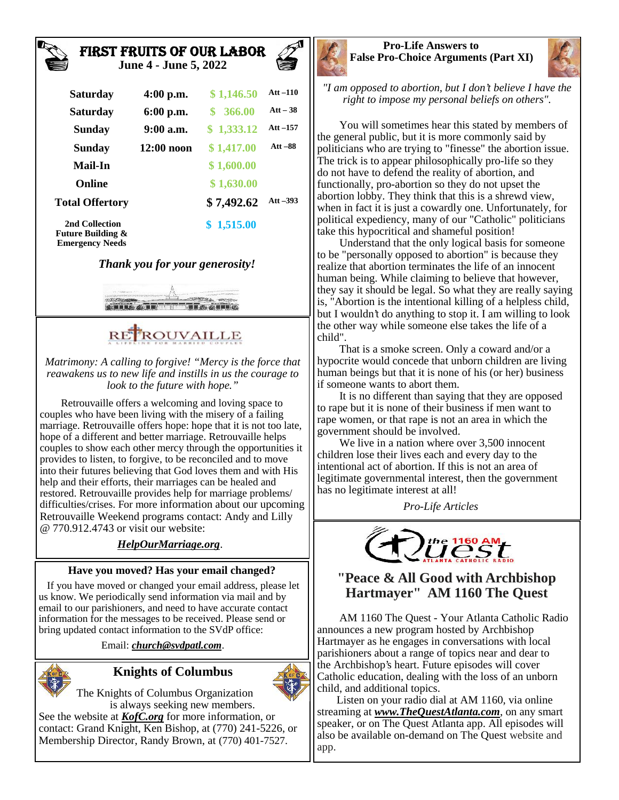#### **First Fruits of Our Labor June 4 - June 5, 2022**



| <b>Saturday</b>                                | $4:00$ p.m.  | \$1,146.50 | Att $-110$ |
|------------------------------------------------|--------------|------------|------------|
| <b>Saturday</b>                                | $6:00$ p.m.  | \$366.00   | $Att-38$   |
| <b>Sunday</b>                                  | $9:00$ a.m.  | \$1,333.12 | Att $-157$ |
| <b>Sunday</b>                                  | $12:00$ noon | \$1,417.00 | $Att - 88$ |
| <b>Mail-In</b>                                 |              | \$1,600.00 |            |
| <b>Online</b>                                  |              | \$1,630.00 |            |
| <b>Total Offertory</b>                         |              | \$7,492.62 | Att $-393$ |
| 2nd Collection<br><b>Future Building &amp;</b> |              | \$1,515.00 |            |

# *Thank you for your generosity!*

**Emergency Needs**



# RE<sup>P</sup>ROUVAILLE

*Matrimony: A calling to forgive! "Mercy is the force that reawakens us to new life and instills in us the courage to look to the future with hope."*

Retrouvaille offers a welcoming and loving space to couples who have been living with the misery of a failing marriage. Retrouvaille offers hope: hope that it is not too late, hope of a different and better marriage. Retrouvaille helps couples to show each other mercy through the opportunities it provides to listen, to forgive, to be reconciled and to move into their futures believing that God loves them and with His help and their efforts, their marriages can be healed and restored. Retrouvaille provides help for marriage problems/ difficulties/crises. For more information about our upcoming Retrouvaille Weekend programs contact: Andy and Lilly @ 770.912.4743 or visit our website:

# *HelpOurMarriage.org*.

#### **Have you moved? Has your email changed?**

If you have moved or changed your email address, please let us know. We periodically send information via mail and by email to our parishioners, and need to have accurate contact information for the messages to be received. Please send or bring updated contact information to the SVdP office:

Email: *church@svdpatl.com*.



# **Knights of Columbus**



The Knights of Columbus Organization is always seeking new members.

See the website at *KofC.org* for more information, or contact: Grand Knight, Ken Bishop, at (770) 241-5226, or Membership Director, Randy Brown, at (770) 401-7527.





*"I am opposed to abortion, but I don't believe I have the right to impose my personal beliefs on others".*

You will sometimes hear this stated by members of the general public, but it is more commonly said by politicians who are trying to "finesse" the abortion issue. The trick is to appear philosophically pro-life so they do not have to defend the reality of abortion, and functionally, pro-abortion so they do not upset the abortion lobby. They think that this is a shrewd view, when in fact it is just a cowardly one. Unfortunately, for political expediency, many of our "Catholic" politicians take this hypocritical and shameful position!

Understand that the only logical basis for someone to be "personally opposed to abortion" is because they realize that abortion terminates the life of an innocent human being. While claiming to believe that however, they say it should be legal. So what they are really saying is, "Abortion is the intentional killing of a helpless child, but I wouldn't do anything to stop it. I am willing to look the other way while someone else takes the life of a child".

That is a smoke screen. Only a coward and/or a hypocrite would concede that unborn children are living human beings but that it is none of his (or her) business if someone wants to abort them.

It is no different than saying that they are opposed to rape but it is none of their business if men want to rape women, or that rape is not an area in which the government should be involved.

We live in a nation where over 3,500 innocent children lose their lives each and every day to the intentional act of abortion. If this is not an area of legitimate governmental interest, then the government has no legitimate interest at all!

*Pro-Life Articles*



# **"Peace & All Good with Archbishop Hartmayer" AM 1160 The Quest**

AM 1160 The Quest - Your Atlanta Catholic Radio announces a new program hosted by Archbishop Hartmayer as he engages in conversations with local parishioners about a range of topics near and dear to the Archbishop's heart. Future episodes will cover Catholic education, dealing with the loss of an unborn child, and additional topics.

Listen on your radio dial at AM 1160, via online streaming at *www.TheQuestAtlanta.com*, on any smart speaker, or on The Quest Atlanta app. All episodes will also be available on-demand on The Quest website and app.